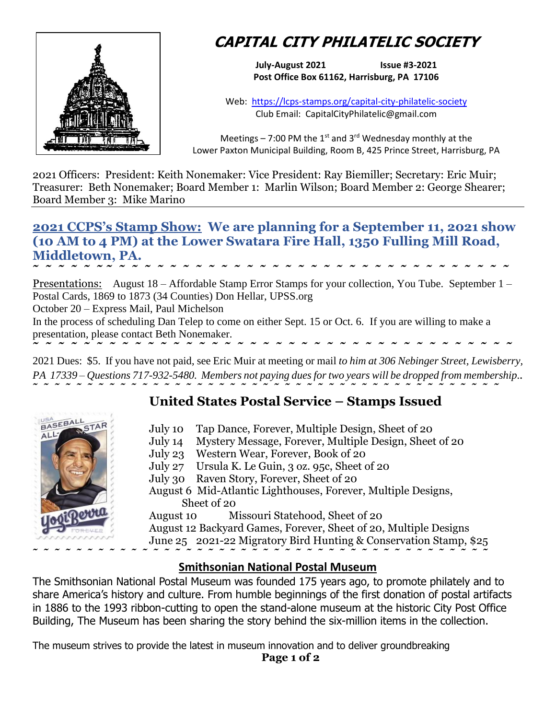

# **CAPITAL CITY PHILATELIC SOCIETY**

**July-August 2021 Issue #3-2021 Post Office Box 61162, Harrisburg, PA 17106**

Web: <https://lcps-stamps.org/capital-city-philatelic-society> Club Email: CapitalCityPhilatelic@gmail.com

Meetings – 7:00 PM the 1<sup>st</sup> and 3<sup>rd</sup> Wednesday monthly at the Lower Paxton Municipal Building, Room B, 425 Prince Street, Harrisburg, PA

2021 Officers: President: Keith Nonemaker: Vice President: Ray Biemiller; Secretary: Eric Muir; Treasurer: Beth Nonemaker; Board Member 1: Marlin Wilson; Board Member 2: George Shearer; Board Member 3: Mike Marino

## **2021 CCPS's Stamp Show: We are planning for a September 11, 2021 show (10 AM to 4 PM) at the Lower Swatara Fire Hall, 1350 Fulling Mill Road, Middletown, PA. ˜ ˜ ˜ ˜ ˜ ˜ ˜ ˜ ˜ ˜ ˜ ˜ ˜ ˜ ˜ ˜ ˜ ˜ ˜ ˜ ˜ ˜ ˜ ˜ ˜ ˜ ˜ ˜ ˜ ˜ ˜ ˜ ˜ ˜ ˜ ˜ ˜ ˜**

Presentations: August 18 – Affordable Stamp Error Stamps for your collection, You Tube. September 1 – Postal Cards, 1869 to 1873 (34 Counties) Don Hellar, UPSS.org

October 20 – Express Mail, Paul Michelson

In the process of scheduling Dan Telep to come on either Sept. 15 or Oct. 6. If you are willing to make a presentation, please contact Beth Nonemaker. **˜ ˜ ˜ ˜ ˜ ˜ ˜ ˜ ˜ ˜ ˜ ˜ ˜ ˜ ˜ ˜ ˜ ˜ ˜ ˜ ˜ ˜ ˜ ˜ ˜ ˜ ˜ ˜ ˜ ˜ ˜ ˜ ˜ ˜ ˜ ˜ ˜ ˜** 

2021 Dues: \$5. If you have not paid, see Eric Muir at meeting or mail *to him at 306 Nebinger Street, Lewisberry, PA 17339 – Questions 717-932-5480. Members not paying dues for two years will be dropped from membership..* **˜ ˜ ˜ ˜ ˜ ˜ ˜ ˜ ˜ ˜ ˜ ˜ ˜ ˜ ˜ ˜ ˜ ˜ ˜ ˜ ˜ ˜ ˜ ˜ ˜ ˜ ˜ ˜ ˜ ˜ ˜ ˜ ˜ ˜ ˜ ˜ ˜ ˜ ˜ ˜ ˜ ˜ ˜** 

# **United States Postal Service – Stamps Issued**



- July 10 Tap Dance, Forever, Multiple Design, Sheet of 20
- July 14 Mystery Message, Forever, Multiple Design, Sheet of 20
- July 23 Western Wear, Forever, Book of 20
- July 27 Ursula K. Le Guin, 3 oz. 95c, Sheet of 20
- July 30 Raven Story, Forever, Sheet of 20
- August 6 Mid-Atlantic Lighthouses, Forever, Multiple Designs, Sheet of 20
- August 10 Missouri Statehood, Sheet of 20
- August 12 Backyard Games, Forever, Sheet of 20, Multiple Designs

June 25 2021-22 Migratory Bird Hunting & Conservation Stamp, \$25

## **Smithsonian National Postal Museum**

The Smithsonian National Postal Museum was founded 175 years ago, to promote philately and to share America's history and culture. From humble beginnings of the first donation of postal artifacts in 1886 to the 1993 ribbon-cutting to open the stand-alone museum at the historic City Post Office Building, The Museum has been sharing the story behind the six-million items in the collection.

The museum strives to provide the latest in museum innovation and to deliver groundbreaking